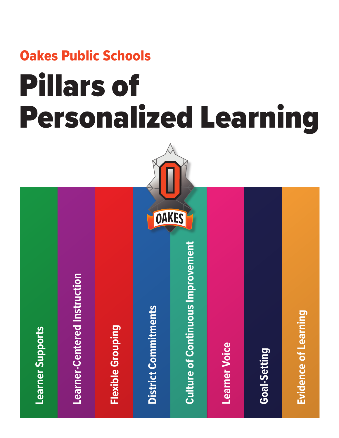# Oakes Public Schools Pillars of Personalized Learning

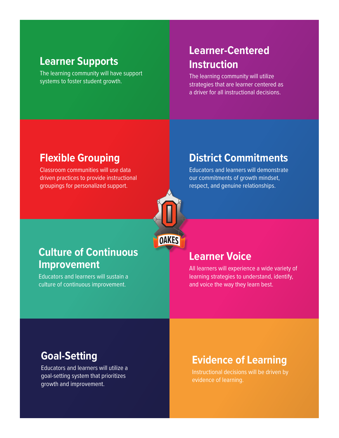#### **Learner Supports**

The learning community will have support systems to foster student growth.

#### **Learner-Centered Instruction**

The learning community will utilize strategies that are learner centered as a driver for all instructional decisions.

#### **Flexible Grouping**

Classroom communities will use data driven practices to provide instructional groupings for personalized support.



#### **Culture of Continuous Improvement**

Educators and learners will sustain a culture of continuous improvement.

### **District Commitments**

Educators and learners will demonstrate our commitments of growth mindset, respect, and genuine relationships.

#### **Learner Voice**

All learners will experience a wide variety of learning strategies to understand, identify, and voice the way they learn best.

#### **Goal-Setting**

Educators and learners will utilize a goal-setting system that prioritizes growth and improvement.

#### **Evidence of Learning**

Instructional decisions will be driven by evidence of learning.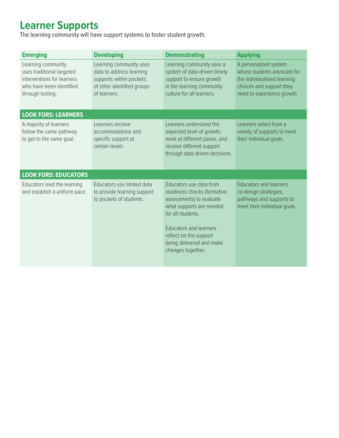## **Learner Supports**

The learning community will have support systems to foster student growth.

| <b>Emerging</b>                                                                                                               | <b>Developing</b>                                                                                                            | <b>Demonstrating</b>                                                                                                                                                                                                                            | <b>Applying</b>                                                                                                                               |
|-------------------------------------------------------------------------------------------------------------------------------|------------------------------------------------------------------------------------------------------------------------------|-------------------------------------------------------------------------------------------------------------------------------------------------------------------------------------------------------------------------------------------------|-----------------------------------------------------------------------------------------------------------------------------------------------|
| Learning community<br>uses traditional targeted<br>interventions for learners<br>who have been identified<br>through testing. | Learning community uses<br>data to address learning<br>supports within pockets<br>of other identified groups<br>of learners. | Learning community uses a<br>system of data-driven timely<br>support to ensure growth<br>in the learning community<br>culture for all learners.                                                                                                 | A personalized system<br>where students advocate for<br>the individualized learning<br>choices and support they<br>need to experience growth. |
| <b>LOOK FORS: LEARNERS</b>                                                                                                    |                                                                                                                              |                                                                                                                                                                                                                                                 |                                                                                                                                               |
| A majority of learners<br>follow the same pathway<br>to get to the same goal.                                                 | Learners receive<br>accommodations and<br>specific support at<br>certain levels.                                             | Learners understand the<br>expected level of growth,<br>work at different paces, and<br>receive different support<br>through data driven decisions.                                                                                             | Learners select from a<br>variety of supports to meet<br>their individual goals.                                                              |
| <b>LOOK FORS: EDUCATORS</b>                                                                                                   |                                                                                                                              |                                                                                                                                                                                                                                                 |                                                                                                                                               |
| Educators lead the learning<br>and establish a uniform pace.                                                                  | Educators use limited data<br>to provide learning support<br>to pockets of students.                                         | Educators use data from<br>readiness checks (formative<br>assessments) to evaluate<br>what supports are needed<br>for all students.<br><b>Educators and learners</b><br>reflect on the support<br>being delivered and make<br>changes together. | <b>Educators and learners</b><br>co-design strategies,<br>pathways and supports to<br>meet their individual goals.                            |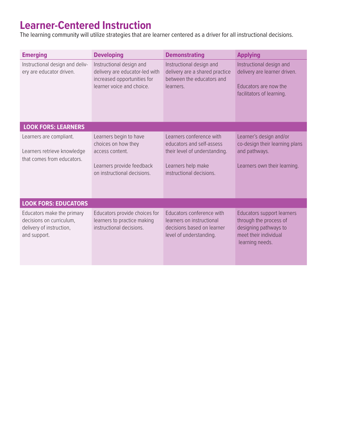## **Learner-Centered Instruction**

The learning community will utilize strategies that are learner centered as a driver for all instructional decisions.

| <b>Emerging</b>                                                                                    | <b>Developing</b>                                                                                                            | <b>Demonstrating</b>                                                                                                                     | <b>Applying</b>                                                                                                                  |
|----------------------------------------------------------------------------------------------------|------------------------------------------------------------------------------------------------------------------------------|------------------------------------------------------------------------------------------------------------------------------------------|----------------------------------------------------------------------------------------------------------------------------------|
| Instructional design and deliv-<br>ery are educator driven.                                        | Instructional design and<br>delivery are educator-led with<br>increased opportunities for<br>learner voice and choice.       | Instructional design and<br>delivery are a shared practice<br>between the educators and<br>learners.                                     | Instructional design and<br>delivery are learner driven.<br>Educators are now the<br>facilitators of learning.                   |
| <b>LOOK FORS: LEARNERS</b>                                                                         |                                                                                                                              |                                                                                                                                          |                                                                                                                                  |
| Learners are compliant.<br>Learners retrieve knowledge<br>that comes from educators.               | Learners begin to have<br>choices on how they<br>access content.<br>Learners provide feedback<br>on instructional decisions. | Learners conference with<br>educators and self-assess<br>their level of understanding.<br>Learners help make<br>instructional decisions. | Learner's design and/or<br>co-design their learning plans<br>and pathways.<br>Learners own their learning.                       |
| <b>LOOK FORS: EDUCATORS</b>                                                                        |                                                                                                                              |                                                                                                                                          |                                                                                                                                  |
| Educators make the primary<br>decisions on curriculum.<br>delivery of instruction,<br>and support. | Educators provide choices for<br>learners to practice making<br>instructional decisions.                                     | Educators conference with<br>learners on instructional<br>decisions based on learner<br>level of understanding.                          | <b>Educators support learners</b><br>through the process of<br>designing pathways to<br>meet their individual<br>learning needs. |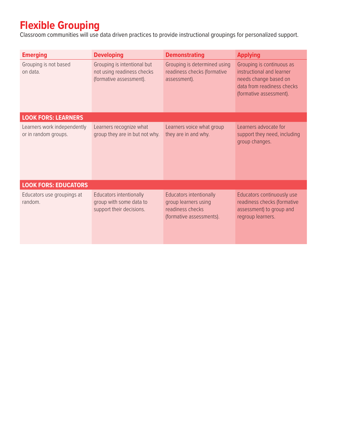## **Flexible Grouping**

Classroom communities will use data driven practices to provide instructional groupings for personalized support.

| <b>Emerging</b>                                     | <b>Developing</b>                                                                     | <b>Demonstrating</b>                                                                                   | <b>Applying</b>                                                                                                                          |
|-----------------------------------------------------|---------------------------------------------------------------------------------------|--------------------------------------------------------------------------------------------------------|------------------------------------------------------------------------------------------------------------------------------------------|
| Grouping is not based<br>on data.                   | Grouping is intentional but<br>not using readiness checks<br>(formative assessment).  | Grouping is determined using<br>readiness checks (formative<br>assessment).                            | Grouping is continuous as<br>instructional and learner<br>needs change based on<br>data from readiness checks<br>(formative assessment). |
| <b>LOOK FORS: LEARNERS</b>                          |                                                                                       |                                                                                                        |                                                                                                                                          |
| Learners work independently<br>or in random groups. | Learners recognize what<br>group they are in but not why.                             | Learners voice what group<br>they are in and why.                                                      | Learners advocate for<br>support they need, including<br>group changes.                                                                  |
| <b>LOOK FORS: EDUCATORS</b>                         |                                                                                       |                                                                                                        |                                                                                                                                          |
| Educators use groupings at<br>random.               | <b>Educators intentionally</b><br>group with some data to<br>support their decisions. | <b>Educators intentionally</b><br>group learners using<br>readiness checks<br>(formative assessments). | Educators continuously use<br>readiness checks (formative<br>assessment) to group and<br>regroup learners.                               |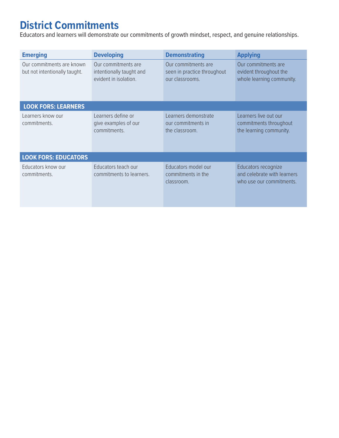# **District Commitments**

Educators and learners will demonstrate our commitments of growth mindset, respect, and genuine relationships.

| <b>Emerging</b>                                            | <b>Developing</b>                                                        | <b>Demonstrating</b>                                                  | <b>Applying</b>                                                                |
|------------------------------------------------------------|--------------------------------------------------------------------------|-----------------------------------------------------------------------|--------------------------------------------------------------------------------|
| Our commitments are known<br>but not intentionally taught. | Our commitments are<br>intentionally taught and<br>evident in isolation. | Our commitments are<br>seen in practice throughout<br>our classrooms. | Our commitments are<br>evident throughout the<br>whole learning community.     |
| <b>LOOK FORS: LEARNERS</b>                                 |                                                                          |                                                                       |                                                                                |
| Learners know our<br>commitments.                          | Learners define or<br>give examples of our<br>commitments.               | Learners demonstrate<br>our commitments in<br>the classroom.          | Learners live out our<br>commitments throughout<br>the learning community.     |
| <b>LOOK FORS: EDUCATORS</b>                                |                                                                          |                                                                       |                                                                                |
| Educators know our<br>commitments.                         | Educators teach our<br>commitments to learners.                          | Educators model our<br>commitments in the<br>classroom.               | Educators recognize<br>and celebrate with learners<br>who use our commitments. |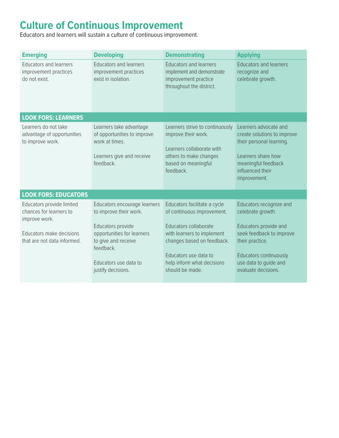# **Culture of Continuous Improvement**

Educators and learners will sustain a culture of continuous improvement.

| <b>Emerging</b>                                                         | <b>Developing</b>                                                                                                  | <b>Demonstrating</b>                                                                                                                              | <b>Applying</b>                                                                                                                                                   |
|-------------------------------------------------------------------------|--------------------------------------------------------------------------------------------------------------------|---------------------------------------------------------------------------------------------------------------------------------------------------|-------------------------------------------------------------------------------------------------------------------------------------------------------------------|
| <b>Educators and learners</b><br>improvement practices<br>do not exist. | <b>Educators and learners</b><br>improvement practices<br>exist in isolation.                                      | <b>Educators and learners</b><br>implement and demonstrate<br>improvement practice<br>throughout the district.                                    | <b>Educators and learners</b><br>recognize and<br>celebrate growth.                                                                                               |
| <b>LOOK FORS: LEARNERS</b>                                              |                                                                                                                    |                                                                                                                                                   |                                                                                                                                                                   |
| Learners do not take<br>advantage of opportunities<br>to improve work.  | Learners take advantage<br>of opportunities to improve<br>work at times.<br>Learners give and receive<br>feedback. | Learners strive to continuously<br>improve their work.<br>Learners collaborate with<br>others to make changes<br>based on meaningful<br>feedback. | Learners advocate and<br>create solutions to improve<br>their personal learning.<br>Learners share how<br>meaningful feedback<br>influenced their<br>improvement. |
| <b>LOOK FORS: EDUCATORS</b>                                             |                                                                                                                    |                                                                                                                                                   |                                                                                                                                                                   |
| Educators provide limited<br>chances for learners to<br>improve work.   | Educators encourage learners<br>to improve their work.<br>Educators provide                                        | Educators facilitate a cycle<br>of continuous improvement.<br>Educators collaborate                                                               | Educators recognize and<br>celebrate growth.<br>Educators provide and                                                                                             |
| Educators make decisions<br>that are not data informed.                 | opportunities for learners<br>to give and receive<br>feedback.                                                     | with learners to implement<br>changes based on feedback.<br>Educators use data to                                                                 | seek feedback to improve<br>their practice.<br>Educators continuously                                                                                             |
|                                                                         | Educators use data to<br>justify decisions.                                                                        | help inform what decisions<br>should be made.                                                                                                     | use data to guide and<br>evaluate decisions.                                                                                                                      |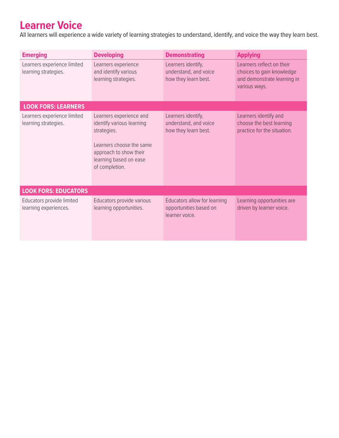## **Learner Voice**

All learners will experience a wide variety of learning strategies to understand, identify, and voice the way they learn best.

| <b>Emerging</b>                                     | <b>Developing</b>                                                                                                                                                     | <b>Demonstrating</b>                                                    | <b>Applying</b>                                                                                        |
|-----------------------------------------------------|-----------------------------------------------------------------------------------------------------------------------------------------------------------------------|-------------------------------------------------------------------------|--------------------------------------------------------------------------------------------------------|
| Learners experience limited<br>learning strategies. | Learners experience<br>and identify various<br>learning strategies.                                                                                                   | Learners identify,<br>understand, and voice<br>how they learn best.     | Learners reflect on their<br>choices to gain knowledge<br>and demonstrate learning in<br>various ways. |
| <b>LOOK FORS: LEARNERS</b>                          |                                                                                                                                                                       |                                                                         |                                                                                                        |
| Learners experience limited<br>learning strategies. | Learners experience and<br>identify various learning<br>strategies.<br>Learners choose the same<br>approach to show their<br>learning based on ease<br>of completion. | Learners identify,<br>understand, and voice<br>how they learn best.     | Learners identify and<br>choose the best learning<br>practice for the situation.                       |
| <b>LOOK FORS: EDUCATORS</b>                         |                                                                                                                                                                       |                                                                         |                                                                                                        |
| Educators provide limited<br>learning experiences.  | Educators provide various<br>learning opportunities.                                                                                                                  | Educators allow for learning<br>opportunities based on<br>learner voice | Learning opportunities are<br>driven by learner voice.                                                 |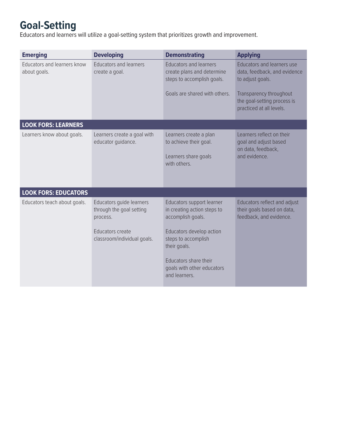# **Goal-Setting**

Educators and learners will utilize a goal-setting system that prioritizes growth and improvement.

| <b>Emerging</b>                             | <b>Developing</b>                                                                                                   | <b>Demonstrating</b>                                                                                                                                                                                                     | <b>Applying</b>                                                                                                                                                      |
|---------------------------------------------|---------------------------------------------------------------------------------------------------------------------|--------------------------------------------------------------------------------------------------------------------------------------------------------------------------------------------------------------------------|----------------------------------------------------------------------------------------------------------------------------------------------------------------------|
| Educators and learners know<br>about goals. | <b>Educators and learners</b><br>create a goal.                                                                     | <b>Educators and learners</b><br>create plans and determine<br>steps to accomplish goals.<br>Goals are shared with others.                                                                                               | Educators and learners use<br>data, feedback, and evidence<br>to adjust goals.<br>Transparency throughout<br>the goal-setting process is<br>practiced at all levels. |
|                                             |                                                                                                                     |                                                                                                                                                                                                                          |                                                                                                                                                                      |
| <b>LOOK FORS: LEARNERS</b>                  |                                                                                                                     |                                                                                                                                                                                                                          |                                                                                                                                                                      |
| Learners know about goals.                  | Learners create a goal with<br>educator quidance.                                                                   | Learners create a plan<br>to achieve their goal.<br>Learners share goals<br>with others.                                                                                                                                 | Learners reflect on their<br>goal and adjust based<br>on data, feedback,<br>and evidence.                                                                            |
| <b>LOOK FORS: EDUCATORS</b>                 |                                                                                                                     |                                                                                                                                                                                                                          |                                                                                                                                                                      |
| Educators teach about goals.                | Educators quide learners<br>through the goal setting<br>process.<br>Educators create<br>classroom/individual goals. | Educators support learner<br>in creating action steps to<br>accomplish goals.<br>Educators develop action<br>steps to accomplish<br>their goals.<br>Educators share their<br>goals with other educators<br>and learners. | Educators reflect and adjust<br>their goals based on data,<br>feedback, and evidence.                                                                                |